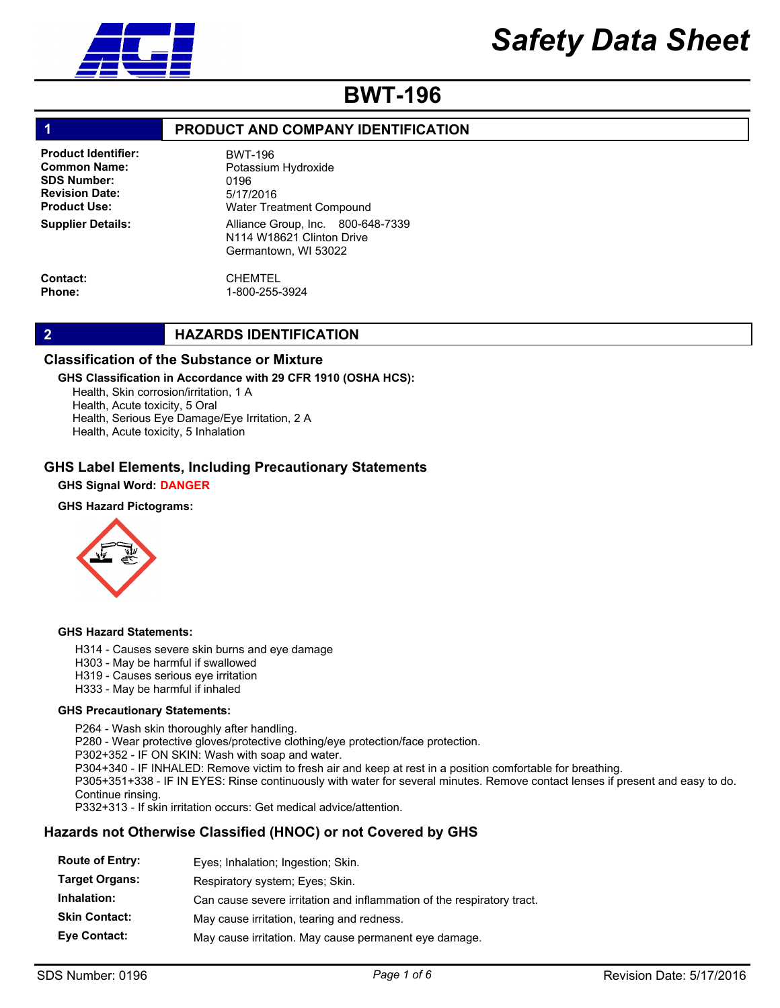

# BWT-196

# 1 **PRODUCT AND COMPANY IDENTIFICATION**

Product Identifier: Common Name: SDS Number: Revision Date: Product Use: Supplier Details:

Alliance Group, Inc. 800-648-7339 N114 W18621 Clinton Drive Germantown, WI 53022 BWT-196 Potassium Hydroxide 0196 5/17/2016 Water Treatment Compound

Contact: Phone:

# CHEMTEL 1-800-255-3924

# 2 **HAZARDS IDENTIFICATION**

# Classification of the Substance or Mixture

# GHS Classification in Accordance with 29 CFR 1910 (OSHA HCS):

Health, Skin corrosion/irritation, 1 A Health, Acute toxicity, 5 Oral Health, Serious Eye Damage/Eye Irritation, 2 A Health, Acute toxicity, 5 Inhalation

# GHS Label Elements, Including Precautionary Statements

### GHS Signal Word: DANGER

### GHS Hazard Pictograms:



#### GHS Hazard Statements:

- H314 Causes severe skin burns and eye damage
- H303 May be harmful if swallowed
- H319 Causes serious eye irritation
- H333 May be harmful if inhaled

### GHS Precautionary Statements:

P264 - Wash skin thoroughly after handling. P280 - Wear protective gloves/protective clothing/eye protection/face protection. P302+352 - IF ON SKIN: Wash with soap and water. P304+340 - IF INHALED: Remove victim to fresh air and keep at rest in a position comfortable for breathing. P305+351+338 - IF IN EYES: Rinse continuously with water for several minutes. Remove contact lenses if present and easy to do. Continue rinsing. P332+313 - If skin irritation occurs: Get medical advice/attention.

# Hazards not Otherwise Classified (HNOC) or not Covered by GHS

| <b>Route of Entry:</b><br>Eyes; Inhalation; Ingestion; Skin.                          |  |
|---------------------------------------------------------------------------------------|--|
| <b>Target Organs:</b><br>Respiratory system; Eyes; Skin.                              |  |
| Inhalation:<br>Can cause severe irritation and inflammation of the respiratory tract. |  |
| <b>Skin Contact:</b><br>May cause irritation, tearing and redness.                    |  |
| <b>Eye Contact:</b><br>May cause irritation. May cause permanent eye damage.          |  |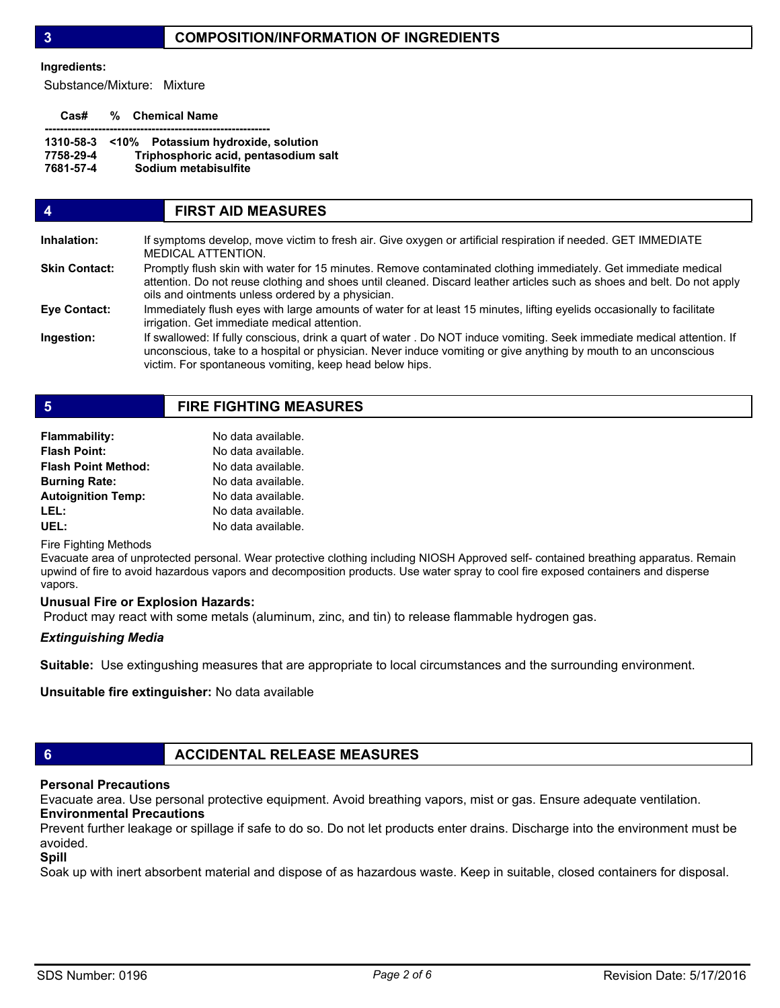# 3 COMPOSITION/INFORMATION OF INGREDIENTS

#### Ingredients:

Substance/Mixture: Mixture

Cas# % Chemical Name

|           | 1310-58-3 < 10% Potassium hydroxide, solution |
|-----------|-----------------------------------------------|
| 7758-29-4 | Triphosphoric acid, pentasodium salt          |
| 7681-57-4 | Sodium metabisulfite                          |

# 4 FIRST AID MEASURES

| Inhalation:          | If symptoms develop, move victim to fresh air. Give oxygen or artificial respiration if needed. GET IMMEDIATE<br>MEDICAL ATTENTION.                                                                                                                                                                   |
|----------------------|-------------------------------------------------------------------------------------------------------------------------------------------------------------------------------------------------------------------------------------------------------------------------------------------------------|
| <b>Skin Contact:</b> | Promptly flush skin with water for 15 minutes. Remove contaminated clothing immediately. Get immediate medical<br>attention. Do not reuse clothing and shoes until cleaned. Discard leather articles such as shoes and belt. Do not apply<br>oils and ointments unless ordered by a physician.        |
| Eye Contact:         | Immediately flush eyes with large amounts of water for at least 15 minutes, lifting eyelids occasionally to facilitate<br>irrigation. Get immediate medical attention.                                                                                                                                |
| Ingestion:           | If swallowed: If fully conscious, drink a quart of water . Do NOT induce vomiting. Seek immediate medical attention. If<br>unconscious, take to a hospital or physician. Never induce vomiting or give anything by mouth to an unconscious<br>victim. For spontaneous vomiting, keep head below hips. |

# 5 FIRE FIGHTING MEASURES

| Flammability:              | No data available. |
|----------------------------|--------------------|
| <b>Flash Point:</b>        | No data available. |
| <b>Flash Point Method:</b> | No data available. |
| <b>Burning Rate:</b>       | No data available. |
| <b>Autoignition Temp:</b>  | No data available. |
| LEL:                       | No data available. |
| UEL:                       | No data available. |

Fire Fighting Methods

Evacuate area of unprotected personal. Wear protective clothing including NIOSH Approved self- contained breathing apparatus. Remain upwind of fire to avoid hazardous vapors and decomposition products. Use water spray to cool fire exposed containers and disperse vapors.

### Unusual Fire or Explosion Hazards:

Product may react with some metals (aluminum, zinc, and tin) to release flammable hydrogen gas.

### Extinguishing Media

Suitable: Use extingushing measures that are appropriate to local circumstances and the surrounding environment.

Unsuitable fire extinguisher: No data available

# 6 **ACCIDENTAL RELEASE MEASURES**

# Personal Precautions

Evacuate area. Use personal protective equipment. Avoid breathing vapors, mist or gas. Ensure adequate ventilation. Environmental Precautions

# Prevent further leakage or spillage if safe to do so. Do not let products enter drains. Discharge into the environment must be avoided.

# Spill

Soak up with inert absorbent material and dispose of as hazardous waste. Keep in suitable, closed containers for disposal.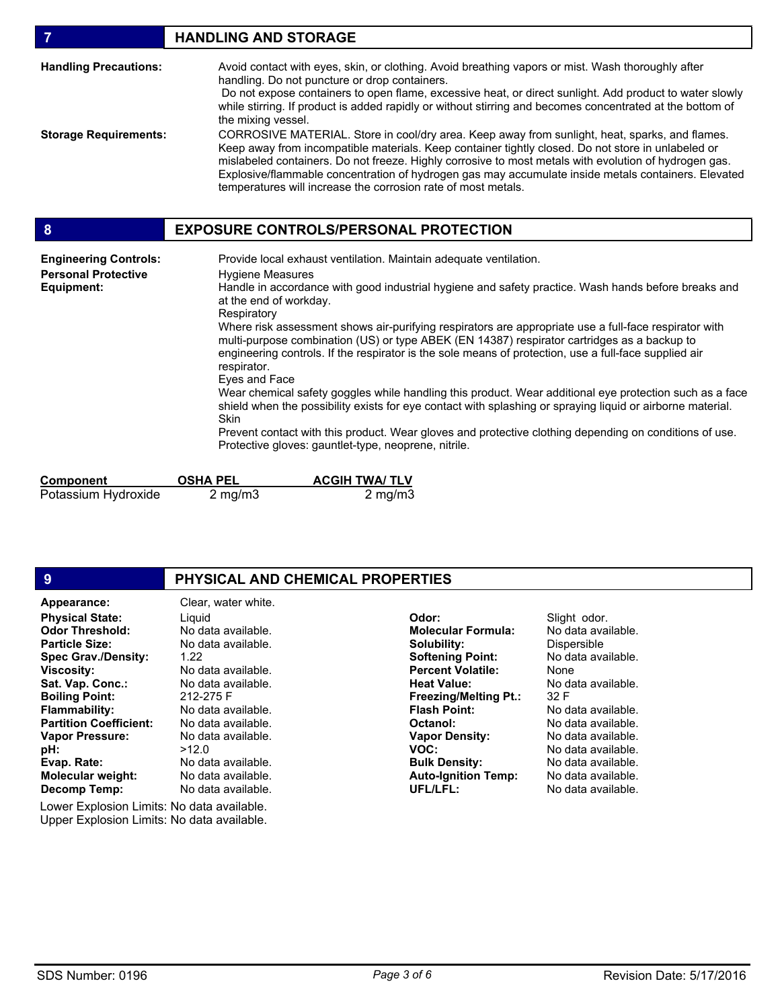| $\overline{7}$                                                                  | <b>HANDLING AND STORAGE</b>                                                                                                                                                                                                                                                                                                                                                                                                                                                                                                                                                                                                                                                                                                                                                                                                                                                                                                                                                                                           |
|---------------------------------------------------------------------------------|-----------------------------------------------------------------------------------------------------------------------------------------------------------------------------------------------------------------------------------------------------------------------------------------------------------------------------------------------------------------------------------------------------------------------------------------------------------------------------------------------------------------------------------------------------------------------------------------------------------------------------------------------------------------------------------------------------------------------------------------------------------------------------------------------------------------------------------------------------------------------------------------------------------------------------------------------------------------------------------------------------------------------|
| <b>Handling Precautions:</b>                                                    | Avoid contact with eyes, skin, or clothing. Avoid breathing vapors or mist. Wash thoroughly after<br>handling. Do not puncture or drop containers.<br>Do not expose containers to open flame, excessive heat, or direct sunlight. Add product to water slowly<br>while stirring. If product is added rapidly or without stirring and becomes concentrated at the bottom of<br>the mixing vessel.                                                                                                                                                                                                                                                                                                                                                                                                                                                                                                                                                                                                                      |
| <b>Storage Requirements:</b>                                                    | CORROSIVE MATERIAL. Store in cool/dry area. Keep away from sunlight, heat, sparks, and flames.<br>Keep away from incompatible materials. Keep container tightly closed. Do not store in unlabeled or<br>mislabeled containers. Do not freeze. Highly corrosive to most metals with evolution of hydrogen gas.<br>Explosive/flammable concentration of hydrogen gas may accumulate inside metals containers. Elevated<br>temperatures will increase the corrosion rate of most metals.                                                                                                                                                                                                                                                                                                                                                                                                                                                                                                                                 |
| 8                                                                               | <b>EXPOSURE CONTROLS/PERSONAL PROTECTION</b>                                                                                                                                                                                                                                                                                                                                                                                                                                                                                                                                                                                                                                                                                                                                                                                                                                                                                                                                                                          |
| <b>Engineering Controls:</b><br><b>Personal Protective</b><br><b>Equipment:</b> | Provide local exhaust ventilation. Maintain adequate ventilation.<br><b>Hygiene Measures</b><br>Handle in accordance with good industrial hygiene and safety practice. Wash hands before breaks and<br>at the end of workday.<br>Respiratory<br>Where risk assessment shows air-purifying respirators are appropriate use a full-face respirator with<br>multi-purpose combination (US) or type ABEK (EN 14387) respirator cartridges as a backup to<br>engineering controls. If the respirator is the sole means of protection, use a full-face supplied air<br>respirator.<br>Eyes and Face<br>Wear chemical safety goggles while handling this product. Wear additional eye protection such as a face<br>shield when the possibility exists for eye contact with splashing or spraying liquid or airborne material.<br><b>Skin</b><br>Prevent contact with this product. Wear gloves and protective clothing depending on conditions of use.<br>Protective gloves: gauntlet-type, neoprene, nitrile.<br>. <i>.</i> |

| Component           | <b>OSHA PEL</b>  | <b>ACGIH TWA/ TLV</b> |
|---------------------|------------------|-----------------------|
| Potassium Hydroxide | $2 \text{ mg/m}$ | 2 mg/m $3$            |

| 9                                                                                                                                                                                                                                                 | PHYSICAL AND CHEMICAL PROPERTIES                                                                                                                                                       |                                                                                                                                                                                                   |                                                                                                                                                           |
|---------------------------------------------------------------------------------------------------------------------------------------------------------------------------------------------------------------------------------------------------|----------------------------------------------------------------------------------------------------------------------------------------------------------------------------------------|---------------------------------------------------------------------------------------------------------------------------------------------------------------------------------------------------|-----------------------------------------------------------------------------------------------------------------------------------------------------------|
| Appearance:<br><b>Physical State:</b><br><b>Odor Threshold:</b><br><b>Particle Size:</b><br><b>Spec Grav./Density:</b><br><b>Viscosity:</b><br>Sat. Vap. Conc.:<br><b>Boiling Point:</b><br><b>Flammability:</b><br><b>Partition Coefficient:</b> | Clear, water white.<br>Liguid<br>No data available.<br>No data available.<br>1.22<br>No data available.<br>No data available.<br>212-275 F<br>No data available.<br>No data available. | Odor:<br><b>Molecular Formula:</b><br>Solubility:<br><b>Softening Point:</b><br><b>Percent Volatile:</b><br><b>Heat Value:</b><br><b>Freezing/Melting Pt.:</b><br><b>Flash Point:</b><br>Octanol: | Slight odor.<br>No data available.<br>Dispersible<br>No data available.<br>None<br>No data available.<br>32 F<br>No data available.<br>No data available. |
| <b>Vapor Pressure:</b><br>pH:<br>Evap. Rate:<br><b>Molecular weight:</b><br>Decomp Temp:<br>Lower Explosion Limits: No data available.                                                                                                            | No data available.<br>>12.0<br>No data available.<br>No data available.<br>No data available.                                                                                          | <b>Vapor Density:</b><br>VOC:<br><b>Bulk Density:</b><br><b>Auto-Ignition Temp:</b><br>UFL/LFL:                                                                                                   | No data available.<br>No data available.<br>No data available.<br>No data available.<br>No data available.                                                |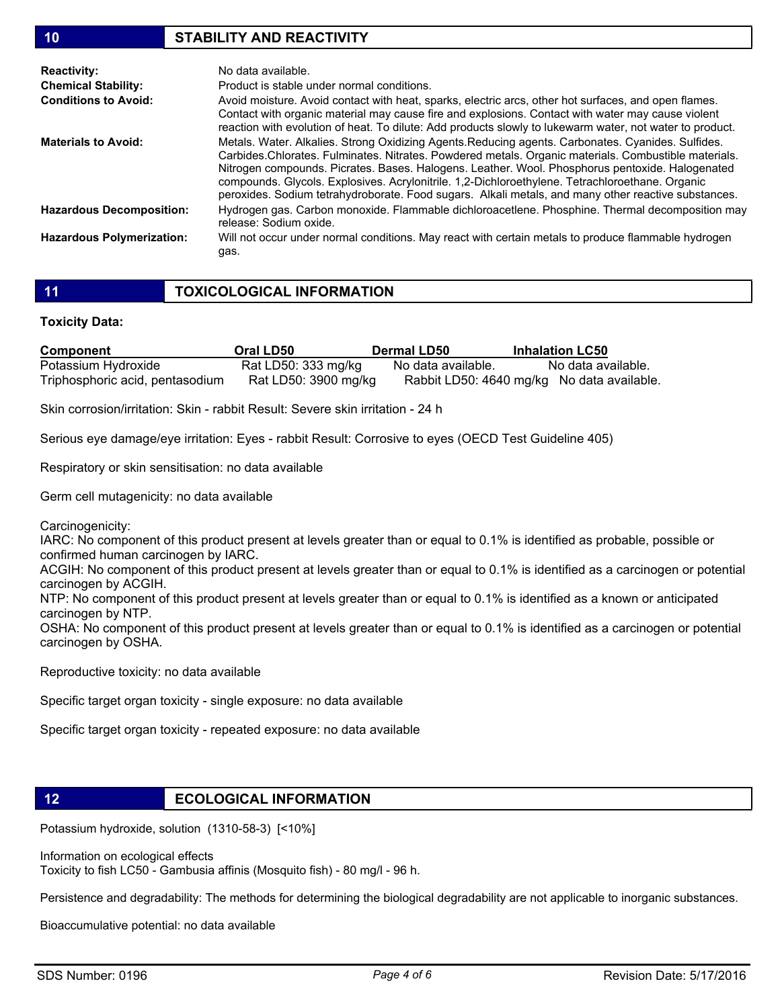# 10 STABILITY AND REACTIVITY

| <b>Reactivity:</b>               | No data available.                                                                                                                                                                                                                                                                                                                                                                                                                                                                                                      |
|----------------------------------|-------------------------------------------------------------------------------------------------------------------------------------------------------------------------------------------------------------------------------------------------------------------------------------------------------------------------------------------------------------------------------------------------------------------------------------------------------------------------------------------------------------------------|
| <b>Chemical Stability:</b>       | Product is stable under normal conditions.                                                                                                                                                                                                                                                                                                                                                                                                                                                                              |
| <b>Conditions to Avoid:</b>      | Avoid moisture. Avoid contact with heat, sparks, electric arcs, other hot surfaces, and open flames.<br>Contact with organic material may cause fire and explosions. Contact with water may cause violent<br>reaction with evolution of heat. To dilute: Add products slowly to lukewarm water, not water to product.                                                                                                                                                                                                   |
| <b>Materials to Avoid:</b>       | Metals. Water. Alkalies. Strong Oxidizing Agents. Reducing agents. Carbonates. Cyanides. Sulfides.<br>Carbides.Chlorates. Fulminates. Nitrates. Powdered metals. Organic materials. Combustible materials.<br>Nitrogen compounds. Picrates. Bases. Halogens. Leather. Wool. Phosphorus pentoxide. Halogenated<br>compounds. Glycols. Explosives. Acrylonitrile. 1,2-Dichloroethylene. Tetrachloroethane. Organic<br>peroxides. Sodium tetrahydroborate. Food sugars. Alkali metals, and many other reactive substances. |
| <b>Hazardous Decomposition:</b>  | Hydrogen gas. Carbon monoxide. Flammable dichloroacetlene. Phosphine. Thermal decomposition may<br>release: Sodium oxide.                                                                                                                                                                                                                                                                                                                                                                                               |
| <b>Hazardous Polymerization:</b> | Will not occur under normal conditions. May react with certain metals to produce flammable hydrogen<br>qas.                                                                                                                                                                                                                                                                                                                                                                                                             |

### Toxicity Data:

| <b>Component</b>                | Oral LD50            | <b>Dermal LD50</b> | <b>Inhalation LC50</b>                     |
|---------------------------------|----------------------|--------------------|--------------------------------------------|
| Potassium Hydroxide             | Rat LD50: 333 mg/kg  | No data available. | No data available.                         |
| Triphosphoric acid, pentasodium | Rat LD50: 3900 mg/kg |                    | Rabbit LD50: 4640 mg/kg No data available. |

Skin corrosion/irritation: Skin - rabbit Result: Severe skin irritation - 24 h

Serious eye damage/eye irritation: Eyes - rabbit Result: Corrosive to eyes (OECD Test Guideline 405)

Respiratory or skin sensitisation: no data available

Germ cell mutagenicity: no data available

Carcinogenicity:

IARC: No component of this product present at levels greater than or equal to 0.1% is identified as probable, possible or confirmed human carcinogen by IARC.

ACGIH: No component of this product present at levels greater than or equal to 0.1% is identified as a carcinogen or potential carcinogen by ACGIH.

NTP: No component of this product present at levels greater than or equal to 0.1% is identified as a known or anticipated carcinogen by NTP.

OSHA: No component of this product present at levels greater than or equal to 0.1% is identified as a carcinogen or potential carcinogen by OSHA.

Reproductive toxicity: no data available

Specific target organ toxicity - single exposure: no data available

Specific target organ toxicity - repeated exposure: no data available

# 12 **ECOLOGICAL INFORMATION**

Potassium hydroxide, solution (1310-58-3) [<10%]

Information on ecological effects Toxicity to fish LC50 - Gambusia affinis (Mosquito fish) - 80 mg/l - 96 h.

Persistence and degradability: The methods for determining the biological degradability are not applicable to inorganic substances.

Bioaccumulative potential: no data available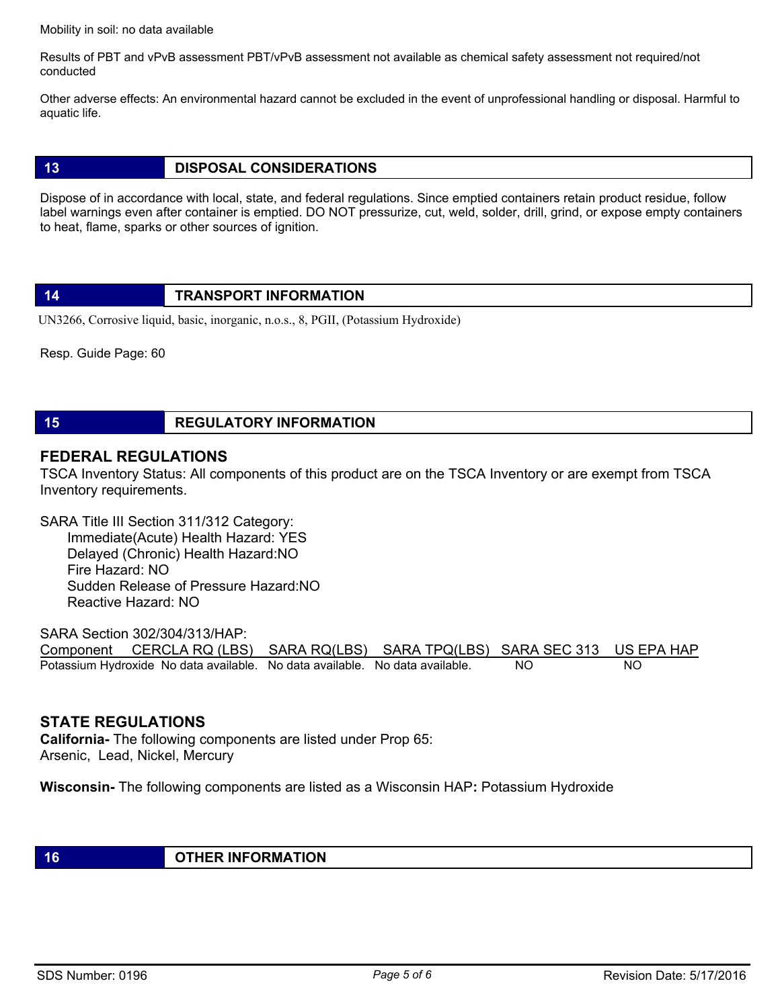Mobility in soil: no data available

Results of PBT and vPvB assessment PBT/vPvB assessment not available as chemical safety assessment not required/not conducted

Other adverse effects: An environmental hazard cannot be excluded in the event of unprofessional handling or disposal. Harmful to aquatic life.

# 13 DISPOSAL CONSIDERATIONS

Dispose of in accordance with local, state, and federal regulations. Since emptied containers retain product residue, follow label warnings even after container is emptied. DO NOT pressurize, cut, weld, solder, drill, grind, or expose empty containers to heat, flame, sparks or other sources of ignition.

# 14 **TRANSPORT INFORMATION**

UN3266, Corrosive liquid, basic, inorganic, n.o.s., 8, PGII, (Potassium Hydroxide)

Resp. Guide Page: 60

# **15 REGULATORY INFORMATION**

# FEDERAL REGULATIONS

TSCA Inventory Status: All components of this product are on the TSCA Inventory or are exempt from TSCA Inventory requirements.

SARA Title III Section 311/312 Category: Immediate(Acute) Health Hazard: YES Delayed (Chronic) Health Hazard:NO Fire Hazard: NO Sudden Release of Pressure Hazard:NO Reactive Hazard: NO

SARA Section 302/304/313/HAP: Component CERCLA RQ (LBS) SARA RQ(LBS) SARA TPQ(LBS) SARA SEC 313 US EPA HAP Potassium Hydroxide No data available. No data available. No data available. NO NO

# STATE REGULATIONS

California- The following components are listed under Prop 65: Arsenic, Lead, Nickel, Mercury

Wisconsin- The following components are listed as a Wisconsin HAP: Potassium Hydroxide

16 COMMUNIST CONTRACTION